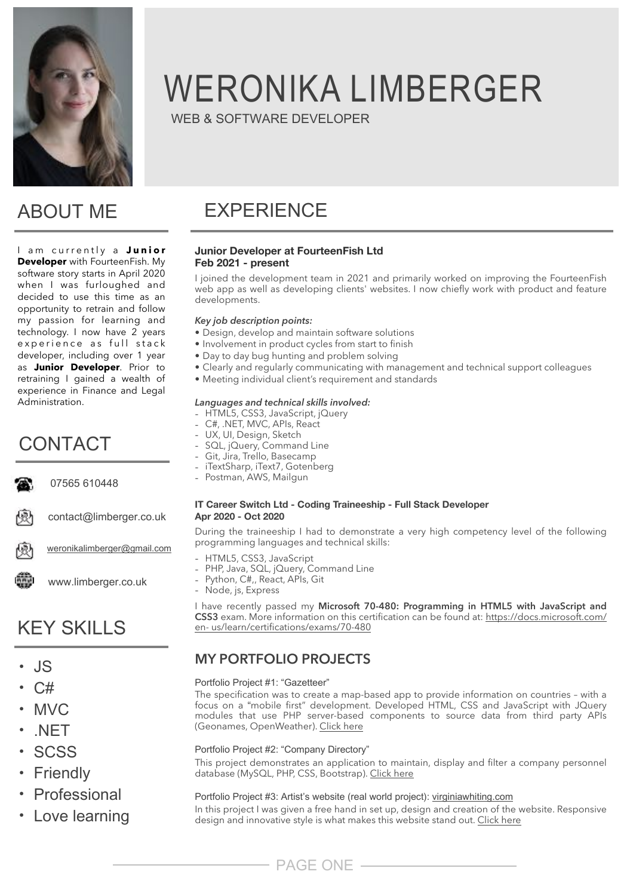

## ABOUT ME

I am currently a Junior **Developer** with FourteenFish. My software story starts in April 2020 when I was furloughed and decided to use this time as an opportunity to retrain and follow my passion for learning and technology. I now have 2 years experience as full stack developer, including over 1 year as **Junior Developer**. Prior to retraining I gained a wealth of experience in Finance and Legal Administration.

## CONTACT

07565 610448 contact@limberger.co.uk weronikalimberger@gmail.com

www.limberger.co.uk

## **KEY SKILLS**

- $\mathsf{JS}$
- $C#$
- $MVC$
- $\overline{\phantom{a}}$  .NET
- SCSS
- $\cdot$  Friendly
- Professional
- Love learning

# WERONIKA LIMBERGER

WEB & SOFTWARE DEVELOPER

# **FXPFRIFNCF**

#### **Junior Developer at FourteenFish Ltd Feb 2021 - present**

I joined the development team in 2021 and primarily worked on improving the FourteenFish web app as well as developing clients' websites. I now chiefly work with product and feature developments.

#### *Key job description points:*

- Design, develop and maintain software solutions
- Involvement in product cycles from start to finish
- Day to day bug hunting and problem solving
- Clearly and regularly communicating with management and technical support colleagues
- Meeting individual client's requirement and standards

#### *Languages and technical skills involved:*

- HTML5, CSS3, JavaScript, jQuery
- C#, .NET, MVC, APIs, React
- UX, UI, Design, Sketch
- SQL, jQuery, Command Line
- Git, Jira, Trello, Basecamp - iTextSharp, iText7, Gotenberg
- Postman, AWS, Mailgun

#### **IT Career Switch Ltd - Coding Traineeship - Full Stack Developer Apr 2020 - Oct 2020**

During the traineeship I had to demonstrate a very high competency level of the following programming languages and technical skills:

- HTML5, CSS3, JavaScript
- PHP, Java, SQL, jQuery, Command Line
- Python, C#,, React, APIs, Git
- Node, js, Express

I have recently passed my **Microsoft 70-480: Programming in HTML5 with JavaScript and CSS3** exam. More information on this certification can be found at: [https://docs.microsoft.com/](https://docs.microsoft.com/en-) [en-](https://docs.microsoft.com/en-) us/learn/certifications/exams/70-480

## **MY PORTFOLIO PROJECTS**

#### Portfolio Project #1: "Gazetteer"

The specification was to create a map-based app to provide information on countries – with a focus on a "mobile first" development. Developed HTML, CSS and JavaScript with JQuery modules that use PHP server-based components to source data from third party APIs (Geonames, OpenWeather). [Click here](https://limberger.co.uk/portfolio/gazeteer/index.htmlhttps://limberger.co.uk/portfolio/gazeteer/index.html)

#### Portfolio Project #2: "Company Directory"

This project demonstrates an application to maintain, display and filter a company personnel database (MySQL, PHP, CSS, Bootstrap). [Click here](https://limberger.co.uk/portfolio/companydirectory/index.php)

#### Portfolio Project #3: Artist's website (real world project): virginiawhiting.com

In this project I was given a free hand in set up, design and creation of the website. Responsive design and innovative style is what makes this website stand out. [Click here](http://virginiawhiting.com)